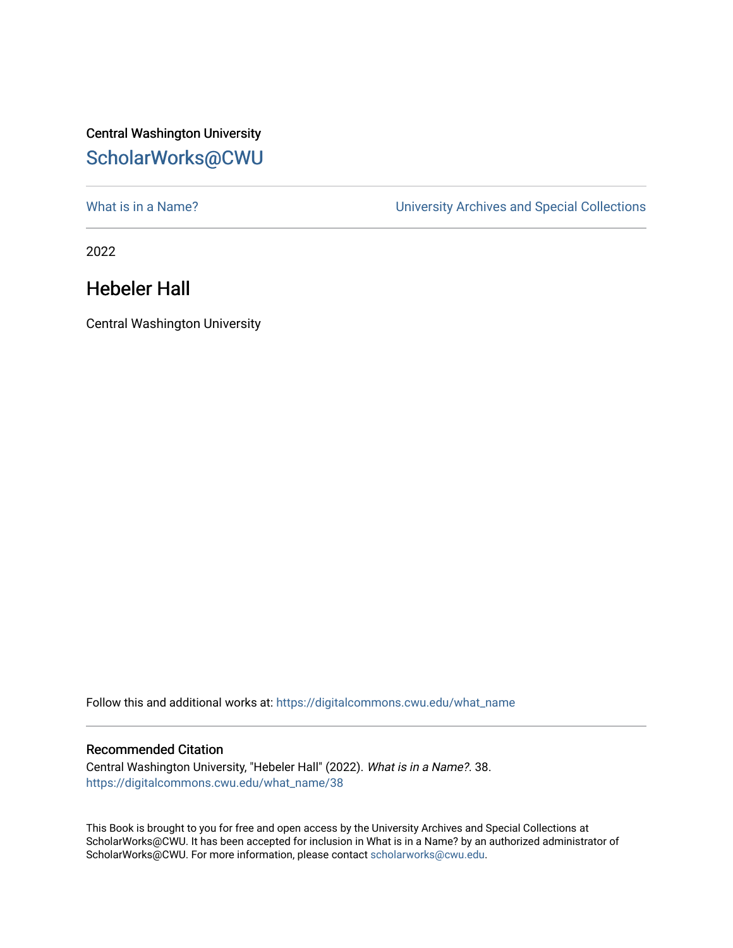## Central Washington University [ScholarWorks@CWU](https://digitalcommons.cwu.edu/)

What is in a Name?<br>
University Archives and Special Collections

2022

## Hebeler Hall

Central Washington University

Follow this and additional works at: [https://digitalcommons.cwu.edu/what\\_name](https://digitalcommons.cwu.edu/what_name?utm_source=digitalcommons.cwu.edu%2Fwhat_name%2F38&utm_medium=PDF&utm_campaign=PDFCoverPages) 

## Recommended Citation

Central Washington University, "Hebeler Hall" (2022). What is in a Name?. 38. [https://digitalcommons.cwu.edu/what\\_name/38](https://digitalcommons.cwu.edu/what_name/38?utm_source=digitalcommons.cwu.edu%2Fwhat_name%2F38&utm_medium=PDF&utm_campaign=PDFCoverPages) 

This Book is brought to you for free and open access by the University Archives and Special Collections at ScholarWorks@CWU. It has been accepted for inclusion in What is in a Name? by an authorized administrator of ScholarWorks@CWU. For more information, please contact [scholarworks@cwu.edu](mailto:scholarworks@cwu.edu).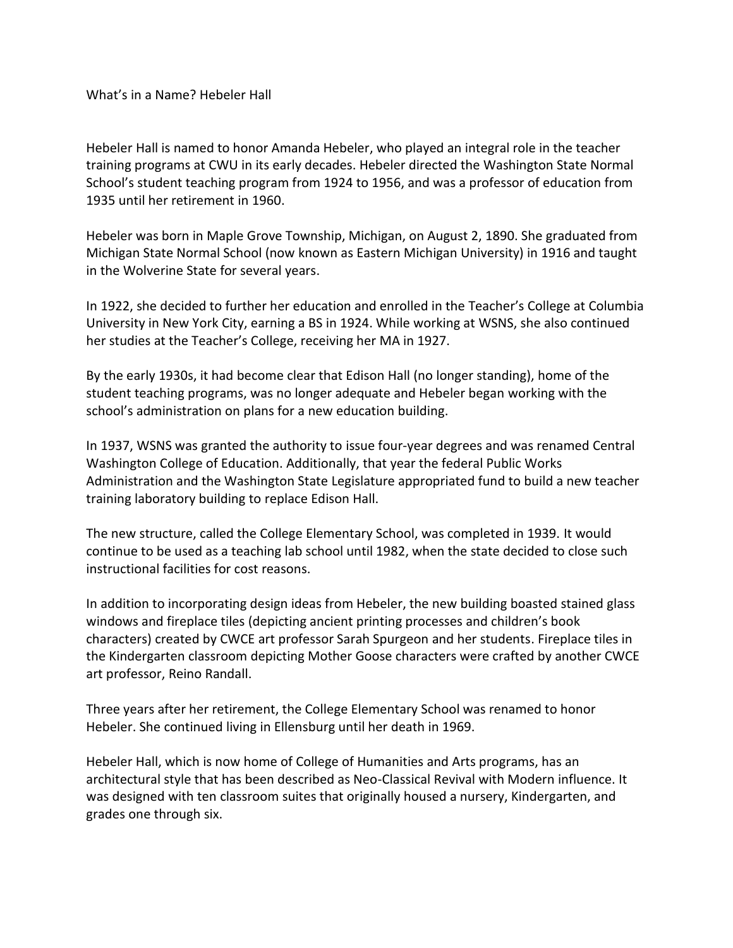What's in a Name? Hebeler Hall

Hebeler Hall is named to honor Amanda Hebeler, who played an integral role in the teacher training programs at CWU in its early decades. Hebeler directed the Washington State Normal School's student teaching program from 1924 to 1956, and was a professor of education from 1935 until her retirement in 1960.

Hebeler was born in Maple Grove Township, Michigan, on August 2, 1890. She graduated from Michigan State Normal School (now known as Eastern Michigan University) in 1916 and taught in the Wolverine State for several years.

In 1922, she decided to further her education and enrolled in the Teacher's College at Columbia University in New York City, earning a BS in 1924. While working at WSNS, she also continued her studies at the Teacher's College, receiving her MA in 1927.

By the early 1930s, it had become clear that Edison Hall (no longer standing), home of the student teaching programs, was no longer adequate and Hebeler began working with the school's administration on plans for a new education building.

In 1937, WSNS was granted the authority to issue four-year degrees and was renamed Central Washington College of Education. Additionally, that year the federal Public Works Administration and the Washington State Legislature appropriated fund to build a new teacher training laboratory building to replace Edison Hall.

The new structure, called the College Elementary School, was completed in 1939. It would continue to be used as a teaching lab school until 1982, when the state decided to close such instructional facilities for cost reasons.

In addition to incorporating design ideas from Hebeler, the new building boasted stained glass windows and fireplace tiles (depicting ancient printing processes and children's book characters) created by CWCE art professor Sarah Spurgeon and her students. Fireplace tiles in the Kindergarten classroom depicting Mother Goose characters were crafted by another CWCE art professor, Reino Randall.

Three years after her retirement, the College Elementary School was renamed to honor Hebeler. She continued living in Ellensburg until her death in 1969.

Hebeler Hall, which is now home of College of Humanities and Arts programs, has an architectural style that has been described as Neo-Classical Revival with Modern influence. It was designed with ten classroom suites that originally housed a nursery, Kindergarten, and grades one through six.